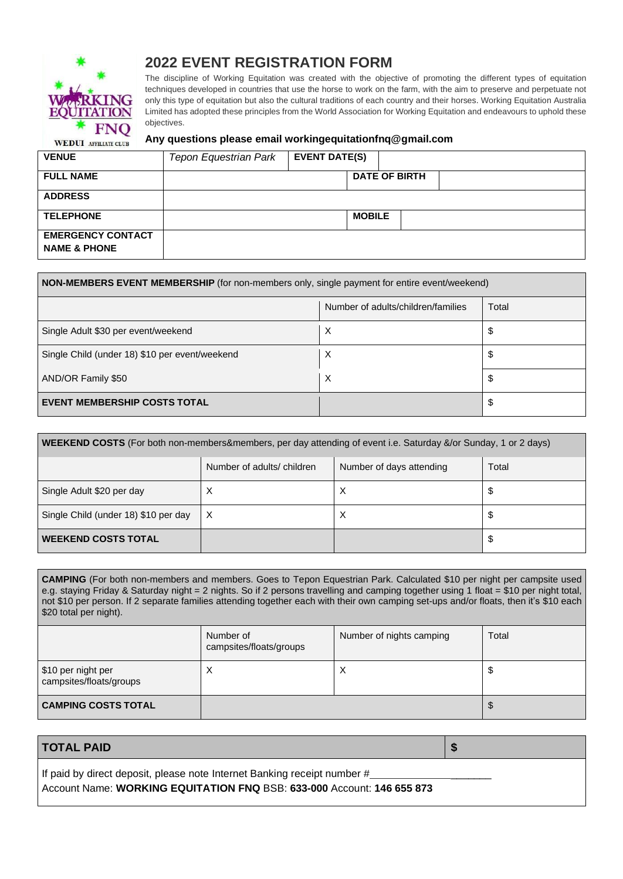

# **2022 EVENT REGISTRATION FORM**

The discipline of Working Equitation was created with the objective of promoting the different types of equitation techniques developed in countries that use the horse to work on the farm, with the aim to preserve and perpetuate not only this type of equitation but also the cultural traditions of each country and their horses. Working Equitation Australia Limited has adopted these principles from the World Association for Working Equitation and endeavours to uphold these objectives.

#### **Any questions please email [workingequitationfnq@gmail.com](mailto:workingequitationfnq@gmail.com)**

| <b>VENUE</b>                                        | <b>Tepon Equestrian Park</b> | <b>EVENT DATE(S)</b> |                      |  |  |
|-----------------------------------------------------|------------------------------|----------------------|----------------------|--|--|
| <b>FULL NAME</b>                                    |                              |                      | <b>DATE OF BIRTH</b> |  |  |
| <b>ADDRESS</b>                                      |                              |                      |                      |  |  |
| <b>TELEPHONE</b>                                    |                              |                      | <b>MOBILE</b>        |  |  |
| <b>EMERGENCY CONTACT</b><br><b>NAME &amp; PHONE</b> |                              |                      |                      |  |  |

| NON-MEMBERS EVENT MEMBERSHIP (for non-members only, single payment for entire event/weekend) |                                    |       |  |  |
|----------------------------------------------------------------------------------------------|------------------------------------|-------|--|--|
|                                                                                              | Number of adults/children/families | Total |  |  |
| Single Adult \$30 per event/weekend                                                          | Х                                  | \$    |  |  |
| Single Child (under 18) \$10 per event/weekend                                               | Х                                  | \$    |  |  |
| AND/OR Family \$50                                                                           | X                                  | \$    |  |  |
| <b>EVENT MEMBERSHIP COSTS TOTAL</b>                                                          |                                    | \$    |  |  |

| WEEKEND COSTS (For both non-members&members, per day attending of event i.e. Saturday &/or Sunday, 1 or 2 days) |                            |                          |       |  |  |
|-----------------------------------------------------------------------------------------------------------------|----------------------------|--------------------------|-------|--|--|
|                                                                                                                 | Number of adults/ children | Number of days attending | Total |  |  |
| Single Adult \$20 per day                                                                                       | ᄉ                          | X                        | \$    |  |  |
| Single Child (under 18) \$10 per day                                                                            | X                          | X                        | \$    |  |  |
| <b>WEEKEND COSTS TOTAL</b>                                                                                      |                            |                          | \$    |  |  |

**CAMPING** (For both non-members and members. Goes to Tepon Equestrian Park. Calculated \$10 per night per campsite used e.g. staying Friday & Saturday night = 2 nights. So if 2 persons travelling and camping together using 1 float = \$10 per night total, not \$10 per person. If 2 separate families attending together each with their own camping set-ups and/or floats, then it's \$10 each \$20 total per night).

|                                               | Number of<br>campsites/floats/groups | Number of nights camping | Total |
|-----------------------------------------------|--------------------------------------|--------------------------|-------|
| \$10 per night per<br>campsites/floats/groups |                                      | ↗                        | ۰U    |
| <b>CAMPING COSTS TOTAL</b>                    |                                      |                          | -JD   |

### **TOTAL PAID \$**

If paid by direct deposit, please note Internet Banking receipt number # Account Name: **WORKING EQUITATION FNQ** BSB: **633-000** Account: **146 655 873**